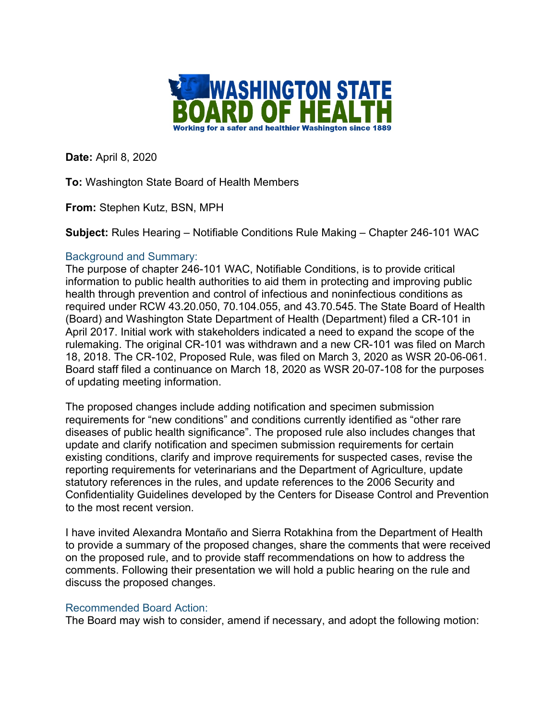

**Date:** April 8, 2020

**To:** Washington State Board of Health Members

**From:** Stephen Kutz, BSN, MPH

**Subject:** Rules Hearing – Notifiable Conditions Rule Making – Chapter 246-101 WAC

## Background and Summary:

The purpose of chapter 246-101 WAC, Notifiable Conditions, is to provide critical information to public health authorities to aid them in protecting and improving public health through prevention and control of infectious and noninfectious conditions as required under RCW 43.20.050, 70.104.055, and 43.70.545. The State Board of Health (Board) and Washington State Department of Health (Department) filed a CR-101 in April 2017. Initial work with stakeholders indicated a need to expand the scope of the rulemaking. The original CR-101 was withdrawn and a new CR-101 was filed on March 18, 2018. The CR-102, Proposed Rule, was filed on March 3, 2020 as WSR 20-06-061. Board staff filed a continuance on March 18, 2020 as WSR 20-07-108 for the purposes of updating meeting information.

The proposed changes include adding notification and specimen submission requirements for "new conditions" and conditions currently identified as "other rare diseases of public health significance". The proposed rule also includes changes that update and clarify notification and specimen submission requirements for certain existing conditions, clarify and improve requirements for suspected cases, revise the reporting requirements for veterinarians and the Department of Agriculture, update statutory references in the rules, and update references to the 2006 Security and Confidentiality Guidelines developed by the Centers for Disease Control and Prevention to the most recent version.

I have invited Alexandra Montaño and Sierra Rotakhina from the Department of Health to provide a summary of the proposed changes, share the comments that were received on the proposed rule, and to provide staff recommendations on how to address the comments. Following their presentation we will hold a public hearing on the rule and discuss the proposed changes.

## Recommended Board Action:

The Board may wish to consider, amend if necessary, and adopt the following motion: